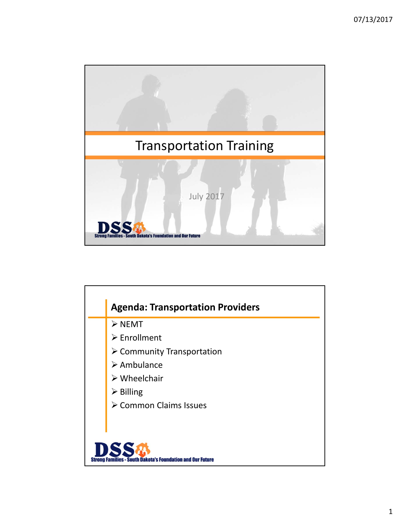

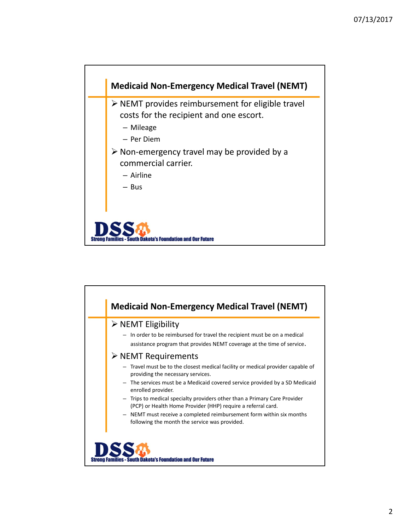

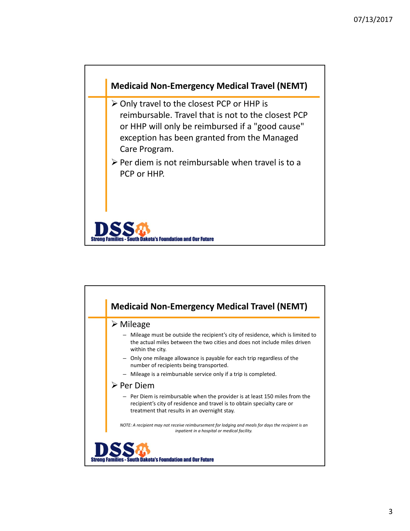

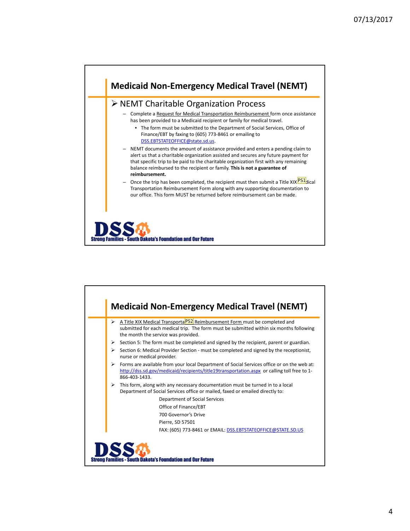

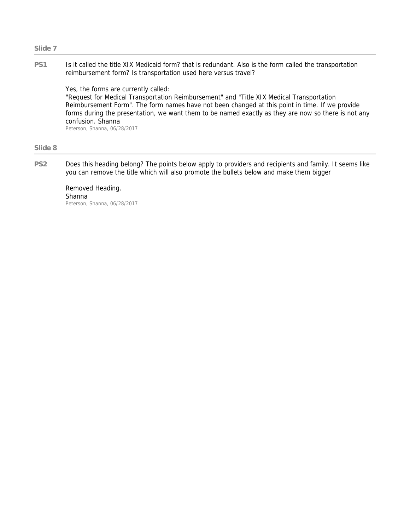## **PS1** Is it called the title XIX Medicaid form? that is redundant. Also is the form called the transportation reimbursement form? Is transportation used here versus travel?

Yes, the forms are currently called: "Request for Medical Transportation Reimbursement" and "Title XIX Medical Transportation Reimbursement Form". The form names have not been changed at this point in time. If we provide forms during the presentation, we want them to be named exactly as they are now so there is not any confusion. Shanna Peterson, Shanna, 06/28/2017

## **Slide 8**

**PS2** Does this heading belong? The points below apply to providers and recipients and family. It seems like you can remove the title which will also promote the bullets below and make them bigger

Removed Heading. Shanna Peterson, Shanna, 06/28/2017

## **Slide 7**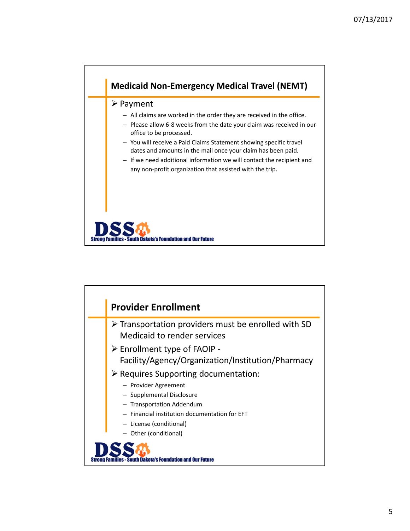

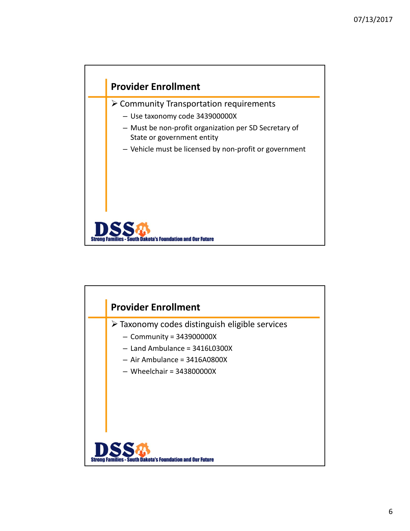

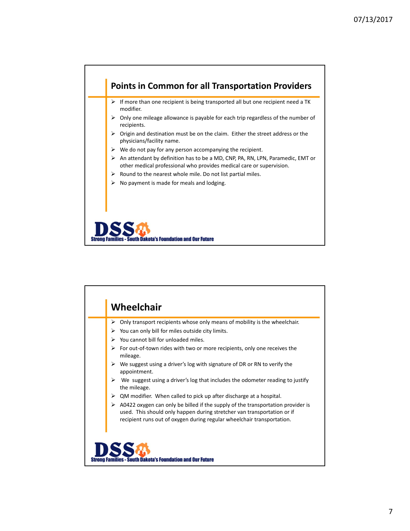

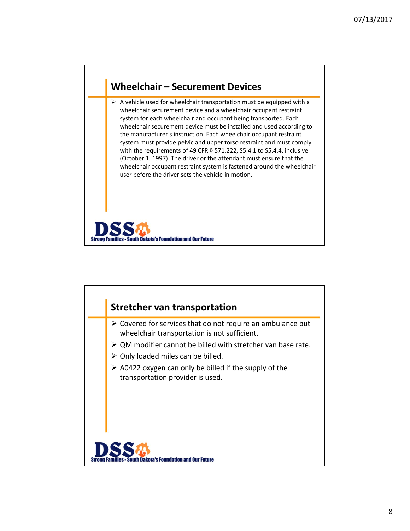## **Wheelchair – Securement Devices**

 $\triangleright$  A vehicle used for wheelchair transportation must be equipped with a wheelchair securement device and a wheelchair occupant restraint system for each wheelchair and occupant being transported. Each wheelchair securement device must be installed and used according to the manufacturer's instruction. Each wheelchair occupant restraint system must provide pelvic and upper torso restraint and must comply with the requirements of 49 CFR § 571.222, S5.4.1 to S5.4.4, inclusive (October 1, 1997). The driver or the attendant must ensure that the wheelchair occupant restraint system is fastened around the wheelchair user before the driver sets the vehicle in motion.



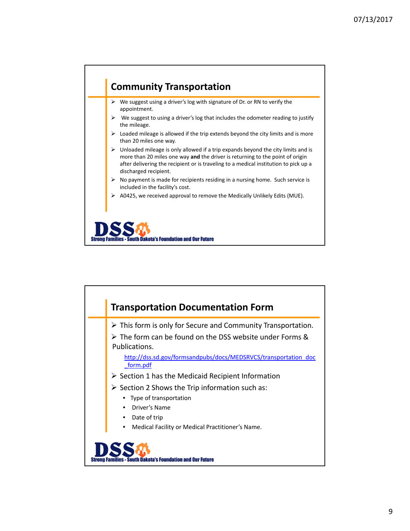

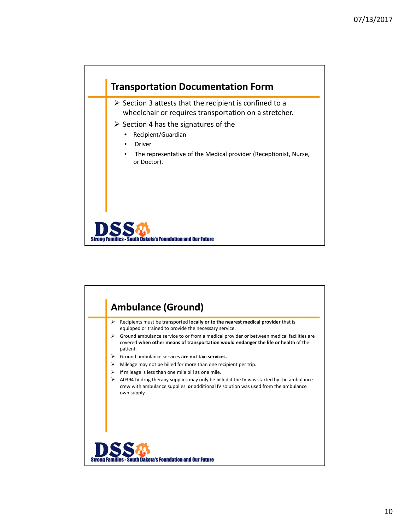

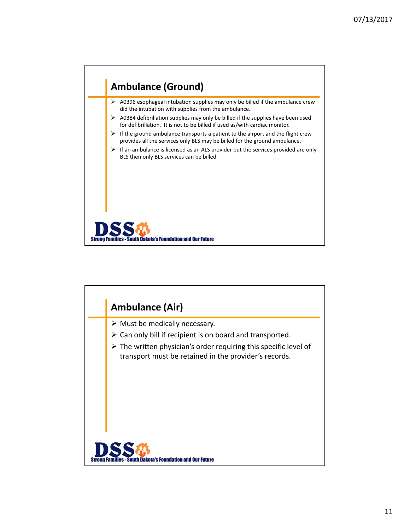

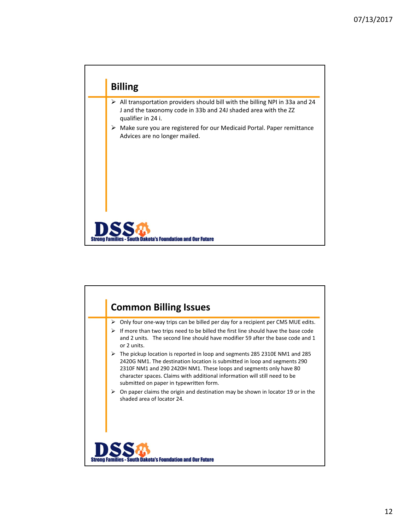